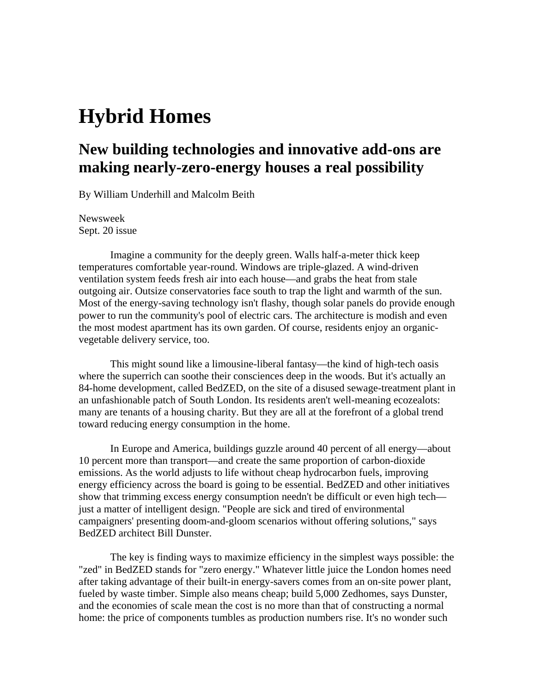## **Hybrid Homes**

## **New building technologies and innovative add-ons are making nearly-zero-energy houses a real possibility**

By William Underhill and Malcolm Beith

Newsweek Sept. 20 issue

Imagine a community for the deeply green. Walls half-a-meter thick keep temperatures comfortable year-round. Windows are triple-glazed. A wind-driven ventilation system feeds fresh air into each house—and grabs the heat from stale outgoing air. Outsize conservatories face south to trap the light and warmth of the sun. Most of the energy-saving technology isn't flashy, though solar panels do provide enough power to run the community's pool of electric cars. The architecture is modish and even the most modest apartment has its own garden. Of course, residents enjoy an organicvegetable delivery service, too.

This might sound like a limousine-liberal fantasy—the kind of high-tech oasis where the superrich can soothe their consciences deep in the woods. But it's actually an 84-home development, called BedZED, on the site of a disused sewage-treatment plant in an unfashionable patch of South London. Its residents aren't well-meaning ecozealots: many are tenants of a housing charity. But they are all at the forefront of a global trend toward reducing energy consumption in the home.

In Europe and America, buildings guzzle around 40 percent of all energy—about 10 percent more than transport—and create the same proportion of carbon-dioxide emissions. As the world adjusts to life without cheap hydrocarbon fuels, improving energy efficiency across the board is going to be essential. BedZED and other initiatives show that trimming excess energy consumption needn't be difficult or even high tech just a matter of intelligent design. "People are sick and tired of environmental campaigners' presenting doom-and-gloom scenarios without offering solutions," says BedZED architect Bill Dunster.

The key is finding ways to maximize efficiency in the simplest ways possible: the "zed" in BedZED stands for "zero energy." Whatever little juice the London homes need after taking advantage of their built-in energy-savers comes from an on-site power plant, fueled by waste timber. Simple also means cheap; build 5,000 Zedhomes, says Dunster, and the economies of scale mean the cost is no more than that of constructing a normal home: the price of components tumbles as production numbers rise. It's no wonder such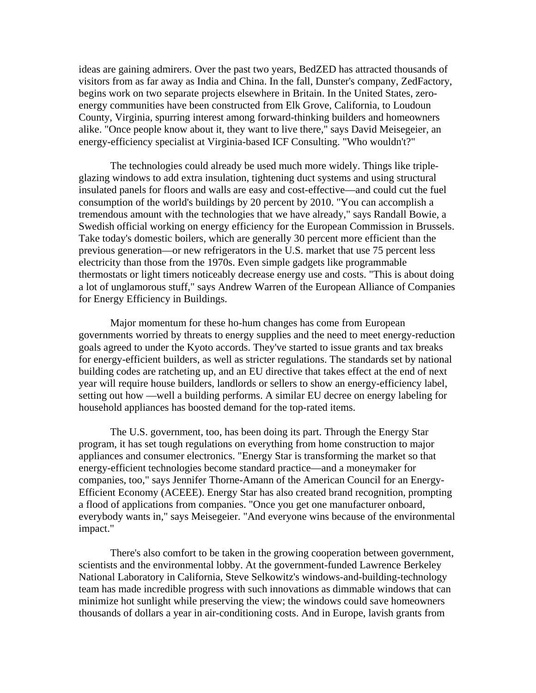ideas are gaining admirers. Over the past two years, BedZED has attracted thousands of visitors from as far away as India and China. In the fall, Dunster's company, ZedFactory, begins work on two separate projects elsewhere in Britain. In the United States, zeroenergy communities have been constructed from Elk Grove, California, to Loudoun County, Virginia, spurring interest among forward-thinking builders and homeowners alike. "Once people know about it, they want to live there," says David Meisegeier, an energy-efficiency specialist at Virginia-based ICF Consulting. "Who wouldn't?"

The technologies could already be used much more widely. Things like tripleglazing windows to add extra insulation, tightening duct systems and using structural insulated panels for floors and walls are easy and cost-effective—and could cut the fuel consumption of the world's buildings by 20 percent by 2010. "You can accomplish a tremendous amount with the technologies that we have already," says Randall Bowie, a Swedish official working on energy efficiency for the European Commission in Brussels. Take today's domestic boilers, which are generally 30 percent more efficient than the previous generation—or new refrigerators in the U.S. market that use 75 percent less electricity than those from the 1970s. Even simple gadgets like programmable thermostats or light timers noticeably decrease energy use and costs. "This is about doing a lot of unglamorous stuff," says Andrew Warren of the European Alliance of Companies for Energy Efficiency in Buildings.

Major momentum for these ho-hum changes has come from European governments worried by threats to energy supplies and the need to meet energy-reduction goals agreed to under the Kyoto accords. They've started to issue grants and tax breaks for energy-efficient builders, as well as stricter regulations. The standards set by national building codes are ratcheting up, and an EU directive that takes effect at the end of next year will require house builders, landlords or sellers to show an energy-efficiency label, setting out how —well a building performs. A similar EU decree on energy labeling for household appliances has boosted demand for the top-rated items.

The U.S. government, too, has been doing its part. Through the Energy Star program, it has set tough regulations on everything from home construction to major appliances and consumer electronics. "Energy Star is transforming the market so that energy-efficient technologies become standard practice—and a moneymaker for companies, too," says Jennifer Thorne-Amann of the American Council for an Energy-Efficient Economy (ACEEE). Energy Star has also created brand recognition, prompting a flood of applications from companies. "Once you get one manufacturer onboard, everybody wants in," says Meisegeier. "And everyone wins because of the environmental impact."

There's also comfort to be taken in the growing cooperation between government, scientists and the environmental lobby. At the government-funded Lawrence Berkeley National Laboratory in California, Steve Selkowitz's windows-and-building-technology team has made incredible progress with such innovations as dimmable windows that can minimize hot sunlight while preserving the view; the windows could save homeowners thousands of dollars a year in air-conditioning costs. And in Europe, lavish grants from